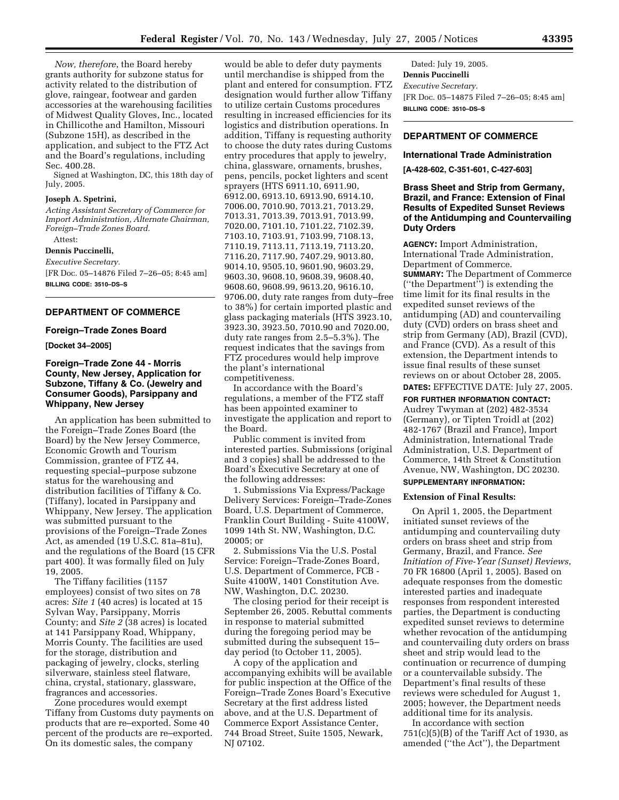*Now, therefore*, the Board hereby grants authority for subzone status for activity related to the distribution of glove, raingear, footwear and garden accessories at the warehousing facilities of Midwest Quality Gloves, Inc., located in Chillicothe and Hamilton, Missouri (Subzone 15H), as described in the application, and subject to the FTZ Act and the Board's regulations, including Sec. 400.28.

Signed at Washington, DC, this 18th day of July, 2005.

# **Joseph A. Spetrini,**

*Acting Assistant Secretary of Commerce for Import Administration, Alternate Chairman, Foreign–Trade Zones Board.*

Attest:

**Dennis Puccinelli,**

*Executive Secretary.* [FR Doc. 05–14876 Filed 7–26–05; 8:45 am] **BILLING CODE: 3510–DS–S**

# **DEPARTMENT OF COMMERCE**

#### **Foreign–Trade Zones Board**

#### **[Docket 34–2005]**

## **Foreign–Trade Zone 44 - Morris County, New Jersey, Application for Subzone, Tiffany & Co. (Jewelry and Consumer Goods), Parsippany and Whippany, New Jersey**

An application has been submitted to the Foreign–Trade Zones Board (the Board) by the New Jersey Commerce, Economic Growth and Tourism Commission, grantee of FTZ 44, requesting special–purpose subzone status for the warehousing and distribution facilities of Tiffany & Co. (Tiffany), located in Parsippany and Whippany, New Jersey. The application was submitted pursuant to the provisions of the Foreign–Trade Zones Act, as amended (19 U.S.C. 81a–81u), and the regulations of the Board (15 CFR part 400). It was formally filed on July 19, 2005.

The Tiffany facilities (1157 employees) consist of two sites on 78 acres: *Site 1* (40 acres) is located at 15 Sylvan Way, Parsippany, Morris County; and *Site 2* (38 acres) is located at 141 Parsippany Road, Whippany, Morris County. The facilities are used for the storage, distribution and packaging of jewelry, clocks, sterling silverware, stainless steel flatware, china, crystal, stationary, glassware, fragrances and accessories.

Zone procedures would exempt Tiffany from Customs duty payments on products that are re–exported. Some 40 percent of the products are re–exported. On its domestic sales, the company

would be able to defer duty payments until merchandise is shipped from the plant and entered for consumption. FTZ designation would further allow Tiffany to utilize certain Customs procedures resulting in increased efficiencies for its logistics and distribution operations. In addition, Tiffany is requesting authority to choose the duty rates during Customs entry procedures that apply to jewelry, china, glassware, ornaments, brushes, pens, pencils, pocket lighters and scent sprayers (HTS 6911.10, 6911.90, 6912.00, 6913.10, 6913.90, 6914.10, 7006.00, 7010.90, 7013.21, 7013.29, 7013.31, 7013.39, 7013.91, 7013.99, 7020.00, 7101.10, 7101.22, 7102.39, 7103.10, 7103.91, 7103.99, 7108.13, 7110.19, 7113.11, 7113.19, 7113.20, 7116.20, 7117.90, 7407.29, 9013.80, 9014.10, 9505.10, 9601.90, 9603.29, 9603.30, 9608.10, 9608.39, 9608.40, 9608.60, 9608.99, 9613.20, 9616.10, 9706.00, duty rate ranges from duty–free to 38%) for certain imported plastic and glass packaging materials (HTS 3923.10, 3923.30, 3923.50, 7010.90 and 7020.00, duty rate ranges from 2.5–5.3%). The request indicates that the savings from FTZ procedures would help improve the plant's international competitiveness.

In accordance with the Board's regulations, a member of the FTZ staff has been appointed examiner to investigate the application and report to the Board.

Public comment is invited from interested parties. Submissions (original and 3 copies) shall be addressed to the Board's Executive Secretary at one of the following addresses:

1. Submissions Via Express/Package Delivery Services: Foreign–Trade-Zones Board, U.S. Department of Commerce, Franklin Court Building - Suite 4100W, 1099 14th St. NW, Washington, D.C. 20005; or

2. Submissions Via the U.S. Postal Service: Foreign–Trade-Zones Board, U.S. Department of Commerce, FCB - Suite 4100W, 1401 Constitution Ave. NW, Washington, D.C. 20230.

The closing period for their receipt is September 26, 2005. Rebuttal comments in response to material submitted during the foregoing period may be submitted during the subsequent 15– day period (to October 11, 2005).

A copy of the application and accompanying exhibits will be available for public inspection at the Office of the Foreign–Trade Zones Board's Executive Secretary at the first address listed above, and at the U.S. Department of Commerce Export Assistance Center, 744 Broad Street, Suite 1505, Newark, NJ 07102.

Dated: July 19, 2005. **Dennis Puccinelli** *Executive Secretary.* [FR Doc. 05–14875 Filed 7–26–05; 8:45 am] **BILLING CODE: 3510–DS–S**

# **DEPARTMENT OF COMMERCE**

## **International Trade Administration**

**[A-428-602, C-351-601, C-427-603]**

## **Brass Sheet and Strip from Germany, Brazil, and France: Extension of Final Results of Expedited Sunset Reviews of the Antidumping and Countervailing Duty Orders**

**AGENCY:** Import Administration, International Trade Administration, Department of Commerce. **SUMMARY:** The Department of Commerce (''the Department'') is extending the time limit for its final results in the expedited sunset reviews of the antidumping (AD) and countervailing duty (CVD) orders on brass sheet and strip from Germany (AD), Brazil (CVD), and France (CVD). As a result of this extension, the Department intends to issue final results of these sunset reviews on or about October 28, 2005.

# **DATES:** EFFECTIVE DATE: July 27, 2005.

**FOR FURTHER INFORMATION CONTACT:** Audrey Twyman at (202) 482-3534 (Germany), or Tipten Troidl at (202) 482-1767 (Brazil and France), Import Administration, International Trade Administration, U.S. Department of Commerce, 14th Street & Constitution Avenue, NW, Washington, DC 20230. **SUPPLEMENTARY INFORMATION:**

### **Extension of Final Results:**

On April 1, 2005, the Department initiated sunset reviews of the antidumping and countervailing duty orders on brass sheet and strip from Germany, Brazil, and France. *See Initiation of Five-Year (Sunset) Reviews*, 70 FR 16800 (April 1, 2005). Based on adequate responses from the domestic interested parties and inadequate responses from respondent interested parties, the Department is conducting expedited sunset reviews to determine whether revocation of the antidumping and countervailing duty orders on brass sheet and strip would lead to the continuation or recurrence of dumping or a countervailable subsidy. The Department's final results of these reviews were scheduled for August 1, 2005; however, the Department needs additional time for its analysis.

In accordance with section  $751(c)(5)(B)$  of the Tariff Act of 1930, as amended (''the Act''), the Department